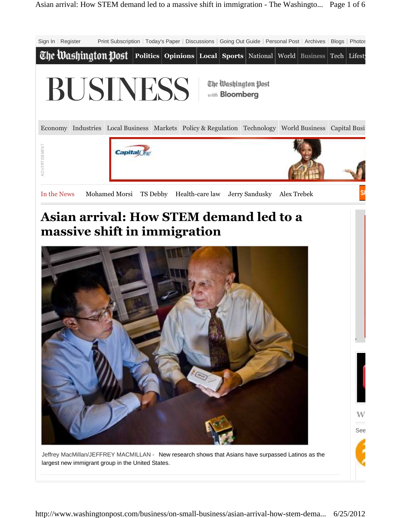



Jeffrey MacMillan/JEFFREY MACMILLAN - New research shows that Asians have surpassed Latinos as the largest new immigrant group in the United States.

See

**W** Social Readers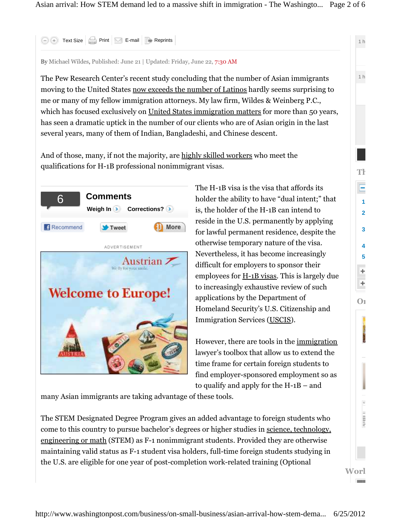$\Box$  Text Size  $\Box$  Print  $\Box$  E-mail  $\Box$  Reprints

By Michael Wildes, Published: June 21 | Updated: Friday, June 22, 7:30 AM

The Pew Research Center's recent study concluding that the number of Asian immigrants moving to the United States now exceeds the number of Latinos hardly seems surprising to me or many of my fellow immigration attorneys. My law firm, Wildes & Weinberg P.C., which has focused exclusively on United States immigration matters for more than 50 years, has seen a dramatic uptick in the number of our clients who are of Asian origin in the last several years, many of them of Indian, Bangladeshi, and Chinese descent.

And of those, many, if not the majority, are highly skilled workers who meet the qualifications for H-1B professional nonimmigrant visas.



The H-1B visa is the visa that affords its holder the ability to have "dual intent;" that is, the holder of the H-1B can intend to reside in the U.S. permanently by applying for lawful permanent residence, despite the otherwise temporary nature of the visa. Nevertheless, it has become increasingly difficult for employers to sponsor their employees for H-1B visas. This is largely due to increasingly exhaustive review of such applications by the Department of Homeland Security's U.S. Citizenship and Immigration Services (USCIS).

However, there are tools in the immigration lawyer's toolbox that allow us to extend the time frame for certain foreign students to find employer-sponsored employment so as to qualify and apply for the H-1B – and

many Asian immigrants are taking advantage of these tools.

The STEM Designated Degree Program gives an added advantage to foreign students who come to this country to pursue bachelor's degrees or higher studies in science, technology, engineering or math (STEM) as F-1 nonimmigrant students. Provided they are otherwise maintaining valid status as F-1 student visa holders, full-time foreign students studying in the U.S. are eligible for one year of post-completion work-related training (Optional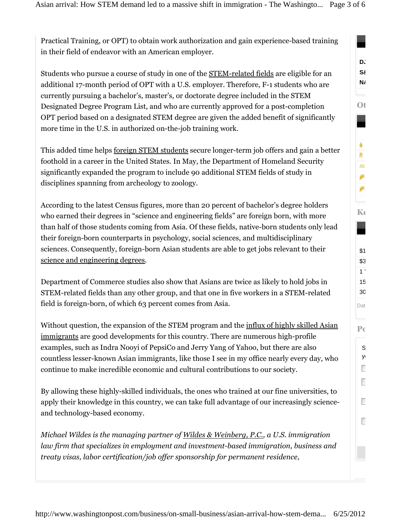Practical Training, or OPT) to obtain work authorization and gain experience-based training in their field of endeavor with an American employer.

Students who pursue a course of study in one of the STEM-related fields are eligible for an additional 17-month period of OPT with a U.S. employer. Therefore, F-1 students who are currently pursuing a bachelor's, master's, or doctorate degree included in the STEM Designated Degree Program List, and who are currently approved for a post-completion OPT period based on a designated STEM degree are given the added benefit of significantly more time in the U.S. in authorized on-the-job training work.

This added time helps foreign STEM students secure longer-term job offers and gain a better foothold in a career in the United States. In May, the Department of Homeland Security significantly expanded the program to include 90 additional STEM fields of study in disciplines spanning from archeology to zoology.

According to the latest Census figures, more than 20 percent of bachelor's degree holders who earned their degrees in "science and engineering fields" are foreign born, with more than half of those students coming from Asia. Of these fields, native-born students only lead their foreign-born counterparts in psychology, social sciences, and multidisciplinary sciences. Consequently, foreign-born Asian students are able to get jobs relevant to their science and engineering degrees.

Department of Commerce studies also show that Asians are twice as likely to hold jobs in STEM-related fields than any other group, and that one in five workers in a STEM-related field is foreign-born, of which 63 percent comes from Asia.

Without question, the expansion of the STEM program and the influx of highly skilled Asian immigrants are good developments for this country. There are numerous high-profile examples, such as Indra Nooyi of PepsiCo and Jerry Yang of Yahoo, but there are also countless lesser-known Asian immigrants, like those I see in my office nearly every day, who continue to make incredible economic and cultural contributions to our society.

By allowing these highly-skilled individuals, the ones who trained at our fine universities, to apply their knowledge in this country, we can take full advantage of our increasingly scienceand technology-based economy.

*Michael Wildes is the managing partner of Wildes & Weinberg, P.C., a U.S. immigration law firm that specializes in employment and investment-based immigration, business and treaty visas, labor certification/job offer sponsorship for permanent residence,*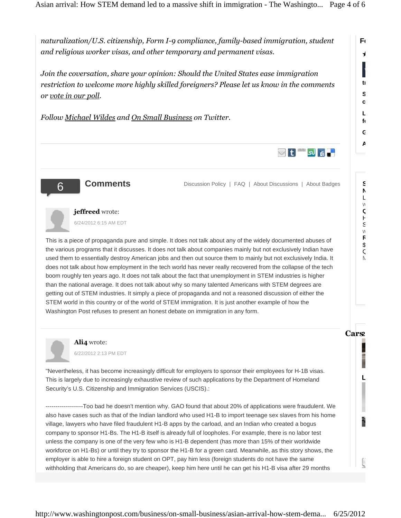*naturalization/U.S. citizenship, Form I-9 compliance, family-based immigration, student and religious worker visas, and other temporary and permanent visas.*

*Join the coversation, share your opinion: Should the United States ease immigration restriction to welcome more highly skilled foreigners? Please let us know in the comments or vote in our poll.*

*Follow Michael Wildes and On Small Business on Twitter.*



Discussion Policy | FAQ | About Discussions | About Badges

**troubles. Sign up for email updates from President Obama's campaign. Looking to buy a home? Visit TWP Real Estate for the latest open houses. Get answers about gas prices. Access your computer on**

★

**Featured Advertiser Links**

**Sponsored Links NVMN corners Lithium Mkt** Limited supply and exponential demand. Hot new stock.  $\tilde{\mathbf{c}}$ **QUAN Top Stock Pick** Hot Industry, Smart Company Shares Now! ww.duantum<br>Innovators.com **Refinance Now at 2.38%**  $\frac{1}{2}$  $\mathsf C$  $N_{\text{max}}$ 

 $Carse<sub>i</sub>$ 

**Listings**

**Comments** 6

6/24/2012 6:15 AM EDT **jeffreed** wrote:

This is a piece of propaganda pure and simple. It does not talk about any of the widely documented abuses of the various programs that it discusses. It does not talk about companies mainly but not exclusively Indian have used them to essentially destroy American jobs and then out source them to mainly but not exclusively India. It does not talk about how employment in the tech world has never really recovered from the collapse of the tech boom roughly ten years ago. It does not talk about the fact that unemployment in STEM industries is higher than the national average. It does not talk about why so many talented Americans with STEM degrees are getting out of STEM industries. It simply a piece of propaganda and not a reasoned discussion of either the STEM world in this country or of the world of STEM immigration. It is just another example of how the Washington Post refuses to present an honest debate on immigration in any form.



"Nevertheless, it has become increasingly difficult for employers to sponsor their employees for H-1B visas. This is largely due to increasingly exhaustive review of such applications by the Department of Homeland Security's U.S. Citizenship and Immigration Services (USCIS).:

-------------------Too bad he doesn't mention why. GAO found that about 20% of applications were fraudulent. We also have cases such as that of the Indian landlord who used H1-B to import teenage sex slaves from his home village, lawyers who have filed fraudulent H1-B apps by the carload, and an Indian who created a bogus company to sponsor H1-Bs. The H1-B itself is already full of loopholes. For example, there is no labor test unless the company is one of the very few who is H1-B dependent (has more than 15% of their worldwide workforce on H1-Bs) or until they try to sponsor the H1-B for a green card. Meanwhile, as this story shows, the employer is able to hire a foreign student on OPT, pay him less (foreign students do not have the same withholding that Americans do, so are cheaper), keep him here until he can get his H1-B visa after 29 months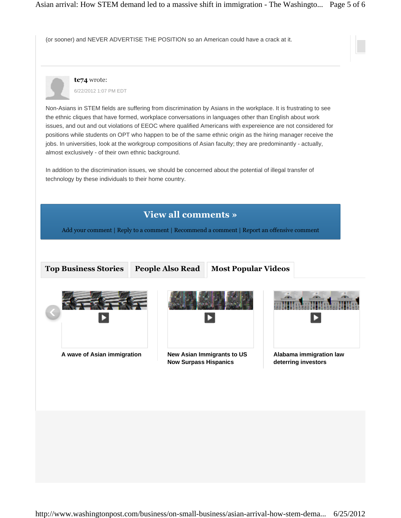(or sooner) and NEVER ADVERTISE THE POSITION so an American could have a crack at it.

6/22/2012 1:07 PM EDT **tc74** wrote:

Non-Asians in STEM fields are suffering from discrimination by Asians in the workplace. It is frustrating to see the ethnic cliques that have formed, workplace conversations in languages other than English about work issues, and out and out violations of EEOC where qualified Americans with expereience are not considered for positions while students on OPT who happen to be of the same ethnic origin as the hiring manager receive the jobs. In universities, look at the workgroup compositions of Asian faculty; they are predominantly - actually, almost exclusively - of their own ethnic background.

In addition to the discrimination issues, we should be concerned about the potential of illegal transfer of technology by these individuals to their home country.